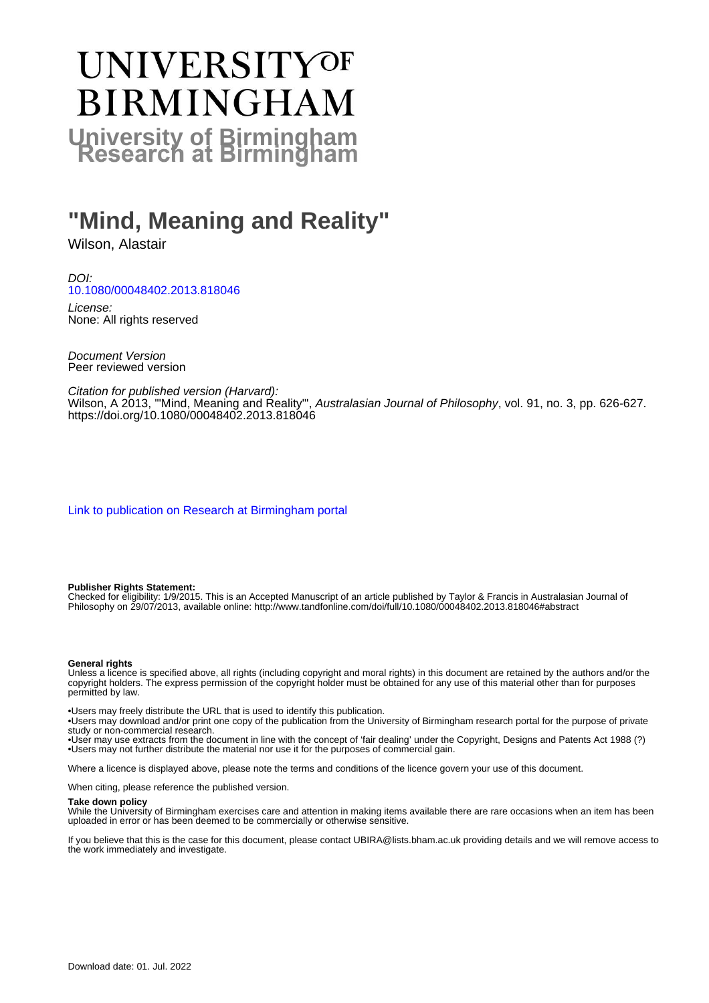# UNIVERSITYOF **BIRMINGHAM University of Birmingham**

## **"Mind, Meaning and Reality"**

Wilson, Alastair

DOI: [10.1080/00048402.2013.818046](https://doi.org/10.1080/00048402.2013.818046)

License: None: All rights reserved

Document Version Peer reviewed version

Citation for published version (Harvard): Wilson, A 2013, '"Mind, Meaning and Reality"', Australasian Journal of Philosophy, vol. 91, no. 3, pp. 626-627. <https://doi.org/10.1080/00048402.2013.818046>

[Link to publication on Research at Birmingham portal](https://birmingham.elsevierpure.com/en/publications/26b63d58-ca0b-4191-be28-64acf70cb41a)

#### **Publisher Rights Statement:**

Checked for eligibility: 1/9/2015. This is an Accepted Manuscript of an article published by Taylor & Francis in Australasian Journal of Philosophy on 29/07/2013, available online: http://www.tandfonline.com/doi/full/10.1080/00048402.2013.818046#abstract

#### **General rights**

Unless a licence is specified above, all rights (including copyright and moral rights) in this document are retained by the authors and/or the copyright holders. The express permission of the copyright holder must be obtained for any use of this material other than for purposes permitted by law.

• Users may freely distribute the URL that is used to identify this publication.

• Users may download and/or print one copy of the publication from the University of Birmingham research portal for the purpose of private study or non-commercial research.

• User may use extracts from the document in line with the concept of 'fair dealing' under the Copyright, Designs and Patents Act 1988 (?) • Users may not further distribute the material nor use it for the purposes of commercial gain.

Where a licence is displayed above, please note the terms and conditions of the licence govern your use of this document.

When citing, please reference the published version.

#### **Take down policy**

While the University of Birmingham exercises care and attention in making items available there are rare occasions when an item has been uploaded in error or has been deemed to be commercially or otherwise sensitive.

If you believe that this is the case for this document, please contact UBIRA@lists.bham.ac.uk providing details and we will remove access to the work immediately and investigate.